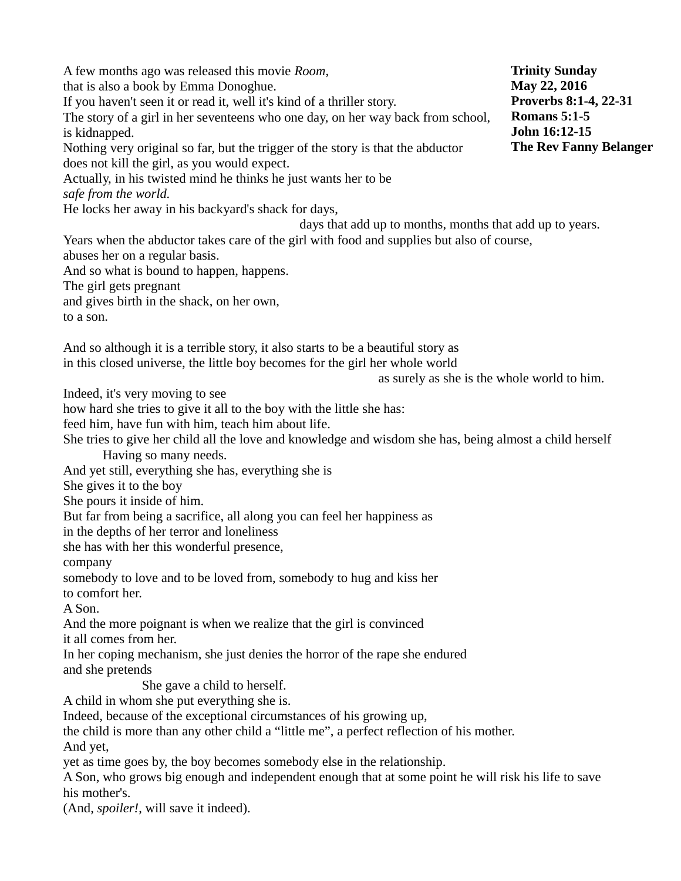A few months ago was released this movie *Room*, that is also a book by Emma Donoghue. If you haven't seen it or read it, well it's kind of a thriller story. The story of a girl in her seventeens who one day, on her way back from school, is kidnapped. Nothing very original so far, but the trigger of the story is that the abductor does not kill the girl, as you would expect. Actually, in his twisted mind he thinks he just wants her to be *safe from the world.* He locks her away in his backyard's shack for days, days that add up to months, months that add up to years. Years when the abductor takes care of the girl with food and supplies but also of course, abuses her on a regular basis. And so what is bound to happen, happens. The girl gets pregnant and gives birth in the shack, on her own, to a son. And so although it is a terrible story, it also starts to be a beautiful story as in this closed universe, the little boy becomes for the girl her whole world as surely as she is the whole world to him. Indeed, it's very moving to see how hard she tries to give it all to the boy with the little she has: feed him, have fun with him, teach him about life. She tries to give her child all the love and knowledge and wisdom she has, being almost a child herself Having so many needs. And yet still, everything she has, everything she is She gives it to the boy She pours it inside of him. But far from being a sacrifice, all along you can feel her happiness as in the depths of her terror and loneliness she has with her this wonderful presence, company somebody to love and to be loved from, somebody to hug and kiss her to comfort her. A Son. And the more poignant is when we realize that the girl is convinced it all comes from her. In her coping mechanism, she just denies the horror of the rape she endured and she pretends She gave a child to herself. A child in whom she put everything she is. Indeed, because of the exceptional circumstances of his growing up, the child is more than any other child a "little me", a perfect reflection of his mother. And yet, yet as time goes by, the boy becomes somebody else in the relationship. A Son, who grows big enough and independent enough that at some point he will risk his life to save his mother's. (And, *spoiler!*, will save it indeed). **Trinity Sunday May 22, 2016 Proverbs 8:1-4, 22-31 Romans 5:1-5 John 16:12-15 The Rev Fanny Belanger**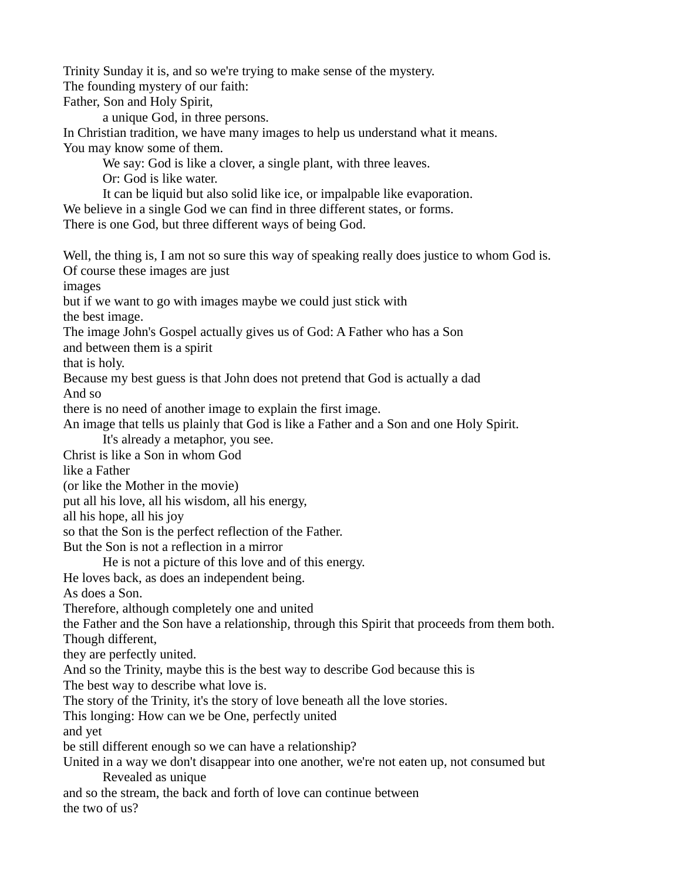Trinity Sunday it is, and so we're trying to make sense of the mystery. The founding mystery of our faith: Father, Son and Holy Spirit,

a unique God, in three persons.

In Christian tradition, we have many images to help us understand what it means. You may know some of them.

We say: God is like a clover, a single plant, with three leaves.

Or: God is like water.

It can be liquid but also solid like ice, or impalpable like evaporation. We believe in a single God we can find in three different states, or forms. There is one God, but three different ways of being God.

Well, the thing is, I am not so sure this way of speaking really does justice to whom God is. Of course these images are just

images

but if we want to go with images maybe we could just stick with

the best image.

The image John's Gospel actually gives us of God: A Father who has a Son

and between them is a spirit

that is holy.

Because my best guess is that John does not pretend that God is actually a dad

And so

there is no need of another image to explain the first image.

An image that tells us plainly that God is like a Father and a Son and one Holy Spirit.

It's already a metaphor, you see.

Christ is like a Son in whom God

like a Father

(or like the Mother in the movie)

put all his love, all his wisdom, all his energy,

all his hope, all his joy

so that the Son is the perfect reflection of the Father.

But the Son is not a reflection in a mirror

He is not a picture of this love and of this energy.

He loves back, as does an independent being.

As does a Son.

Therefore, although completely one and united

the Father and the Son have a relationship, through this Spirit that proceeds from them both. Though different,

they are perfectly united.

And so the Trinity, maybe this is the best way to describe God because this is

The best way to describe what love is.

The story of the Trinity, it's the story of love beneath all the love stories.

This longing: How can we be One, perfectly united

and yet

be still different enough so we can have a relationship?

United in a way we don't disappear into one another, we're not eaten up, not consumed but Revealed as unique

and so the stream, the back and forth of love can continue between the two of us?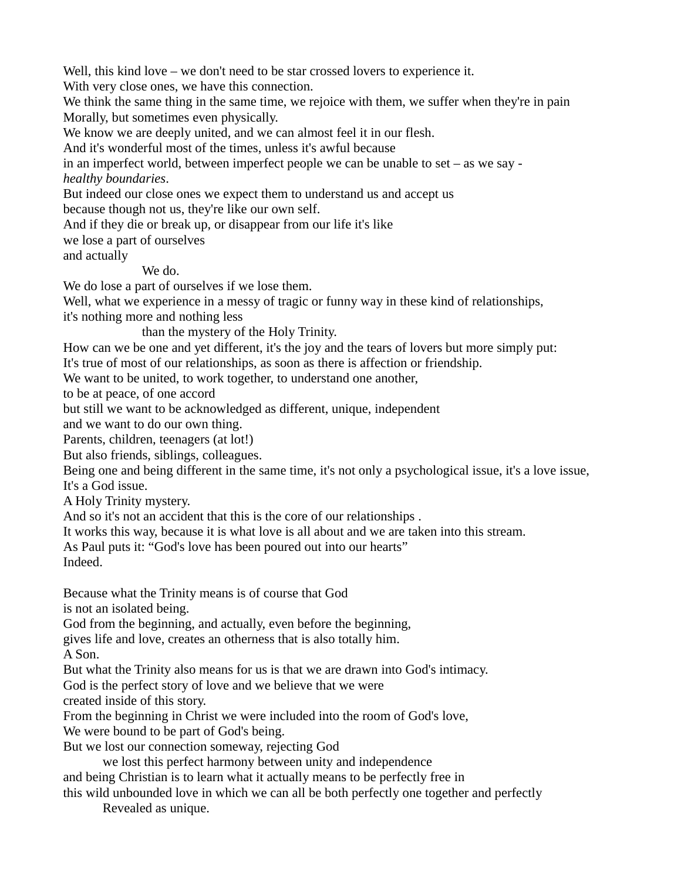Well, this kind love – we don't need to be star crossed lovers to experience it.

With very close ones, we have this connection.

We think the same thing in the same time, we rejoice with them, we suffer when they're in pain Morally, but sometimes even physically.

We know we are deeply united, and we can almost feel it in our flesh.

And it's wonderful most of the times, unless it's awful because

in an imperfect world, between imperfect people we can be unable to set – as we say *healthy boundaries*.

But indeed our close ones we expect them to understand us and accept us

because though not us, they're like our own self.

And if they die or break up, or disappear from our life it's like

we lose a part of ourselves

and actually

## We do.

We do lose a part of ourselves if we lose them.

Well, what we experience in a messy of tragic or funny way in these kind of relationships,

it's nothing more and nothing less

than the mystery of the Holy Trinity.

How can we be one and yet different, it's the joy and the tears of lovers but more simply put: It's true of most of our relationships, as soon as there is affection or friendship.

We want to be united, to work together, to understand one another,

to be at peace, of one accord

but still we want to be acknowledged as different, unique, independent

and we want to do our own thing.

Parents, children, teenagers (at lot!)

But also friends, siblings, colleagues.

Being one and being different in the same time, it's not only a psychological issue, it's a love issue, It's a God issue.

A Holy Trinity mystery.

And so it's not an accident that this is the core of our relationships .

It works this way, because it is what love is all about and we are taken into this stream.

As Paul puts it: "God's love has been poured out into our hearts"

Indeed.

Because what the Trinity means is of course that God

is not an isolated being.

God from the beginning, and actually, even before the beginning,

gives life and love, creates an otherness that is also totally him.

A Son.

But what the Trinity also means for us is that we are drawn into God's intimacy.

God is the perfect story of love and we believe that we were

created inside of this story.

From the beginning in Christ we were included into the room of God's love,

We were bound to be part of God's being.

But we lost our connection someway, rejecting God

we lost this perfect harmony between unity and independence

and being Christian is to learn what it actually means to be perfectly free in

this wild unbounded love in which we can all be both perfectly one together and perfectly Revealed as unique.